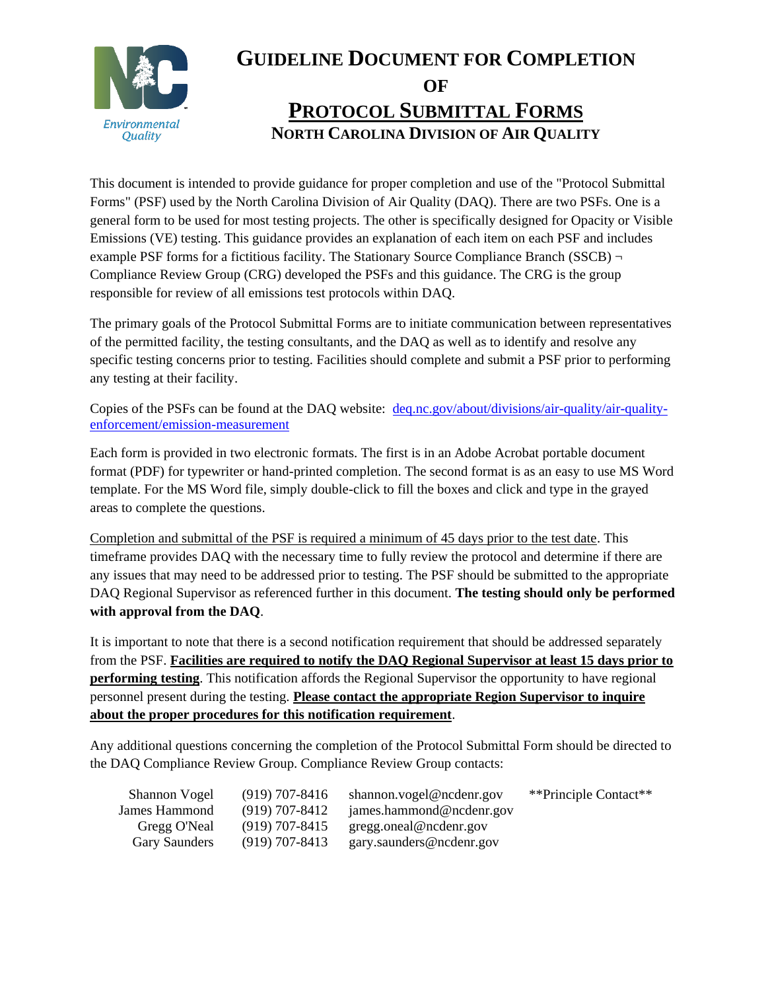

This document is intended to provide guidance for proper completion and use of the "Protocol Submittal Forms" (PSF) used by the North Carolina Division of Air Quality (DAQ). There are two PSFs. One is a general form to be used for most testing projects. The other is specifically designed for Opacity or Visible Emissions (VE) testing. This guidance provides an explanation of each item on each PSF and includes example PSF forms for a fictitious facility. The Stationary Source Compliance Branch (SSCB)  $\neg$ Compliance Review Group (CRG) developed the PSFs and this guidance. The CRG is the group responsible for review of all emissions test protocols within DAQ.

The primary goals of the Protocol Submittal Forms are to initiate communication between representatives of the permitted facility, the testing consultants, and the DAQ as well as to identify and resolve any specific testing concerns prior to testing. Facilities should complete and submit a PSF prior to performing any testing at their facility.

Copies of the PSFs can be found at the DAQ website: [deq.nc.gov/about/divisions/air-quality/air-quality](https://deq.nc.gov/about/divisions/air-quality/air-quality-enforcement/emission-measurement)[enforcement/emission-measurement](https://deq.nc.gov/about/divisions/air-quality/air-quality-enforcement/emission-measurement)

Each form is provided in two electronic formats. The first is in an Adobe Acrobat portable document format (PDF) for typewriter or hand-printed completion. The second format is as an easy to use MS Word template. For the MS Word file, simply double-click to fill the boxes and click and type in the grayed areas to complete the questions.

Completion and submittal of the PSF is required a minimum of 45 days prior to the test date. This timeframe provides DAQ with the necessary time to fully review the protocol and determine if there are any issues that may need to be addressed prior to testing. The PSF should be submitted to the appropriate DAQ Regional Supervisor as referenced further in this document. **The testing should only be performed with approval from the DAQ**.

It is important to note that there is a second notification requirement that should be addressed separately from the PSF. **Facilities are required to notify the DAQ Regional Supervisor at least 15 days prior to performing testing**. This notification affords the Regional Supervisor the opportunity to have regional personnel present during the testing. **Please contact the appropriate Region Supervisor to inquire about the proper procedures for this notification requirement**.

Any additional questions concerning the completion of the Protocol Submittal Form should be directed to the DAQ Compliance Review Group. Compliance Review Group contacts:

| Shannon Vogel | $(919)$ 707-8416 | shannon.vogel@ncdenr.gov | **Principle Contact** |
|---------------|------------------|--------------------------|-----------------------|
| James Hammond | (919) 707-8412   | james.hammond@ncdenr.gov |                       |
| Gregg O'Neal  | $(919)$ 707-8415 | gregg.oneal@ncdenr.gov   |                       |
| Gary Saunders | $(919)$ 707-8413 | gary.saunders@ncdenr.gov |                       |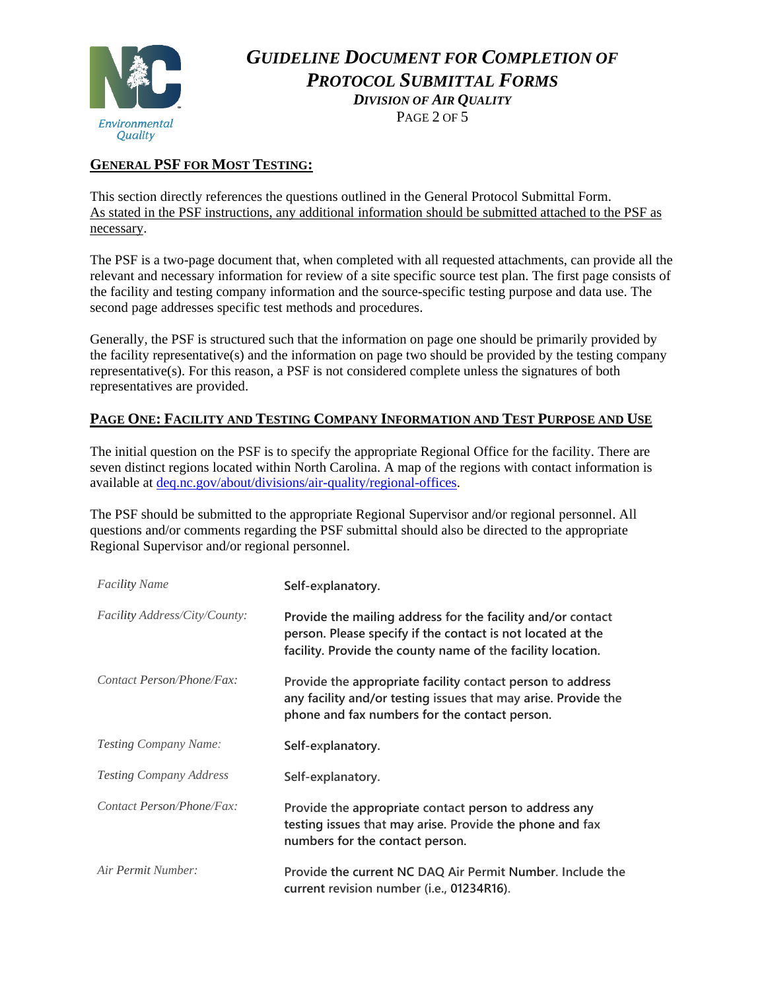

*DIVISION OF AIR QUALITY* PAGE 2 OF 5

### **GENERAL PSF FOR MOST TESTING:**

This section directly references the questions outlined in the General Protocol Submittal Form. As stated in the PSF instructions, any additional information should be submitted attached to the PSF as necessary.

The PSF is a two-page document that, when completed with all requested attachments, can provide all the relevant and necessary information for review of a site specific source test plan. The first page consists of the facility and testing company information and the source-specific testing purpose and data use. The second page addresses specific test methods and procedures.

Generally, the PSF is structured such that the information on page one should be primarily provided by the facility representative(s) and the information on page two should be provided by the testing company representative(s). For this reason, a PSF is not considered complete unless the signatures of both representatives are provided.

#### **PAGE ONE: FACILITY AND TESTING COMPANY INFORMATION AND TEST PURPOSE AND USE**

The initial question on the PSF is to specify the appropriate Regional Office for the facility. There are seven distinct regions located within North Carolina. A map of the regions with contact information is available at [deq.nc.gov/about/divisions/air-quality/regional-offices.](https://deq.nc.gov/about/divisions/air-quality/regional-offices)

The PSF should be submitted to the appropriate Regional Supervisor and/or regional personnel. All questions and/or comments regarding the PSF submittal should also be directed to the appropriate Regional Supervisor and/or regional personnel.

| <b>Facility Name</b>                 | Self-explanatory.                                                                                                                                                                         |
|--------------------------------------|-------------------------------------------------------------------------------------------------------------------------------------------------------------------------------------------|
| <i>Facility Address/City/County:</i> | Provide the mailing address for the facility and/or contact<br>person. Please specify if the contact is not located at the<br>facility. Provide the county name of the facility location. |
| Contact Person/Phone/Fax:            | Provide the appropriate facility contact person to address<br>any facility and/or testing issues that may arise. Provide the<br>phone and fax numbers for the contact person.             |
| <i>Testing Company Name:</i>         | Self-explanatory.                                                                                                                                                                         |
| <b>Testing Company Address</b>       | Self-explanatory.                                                                                                                                                                         |
| Contact Person/Phone/Fax:            | Provide the appropriate contact person to address any<br>testing issues that may arise. Provide the phone and fax<br>numbers for the contact person.                                      |
| Air Permit Number:                   | Provide the current NC DAQ Air Permit Number. Include the<br>current revision number (i.e., 01234R16).                                                                                    |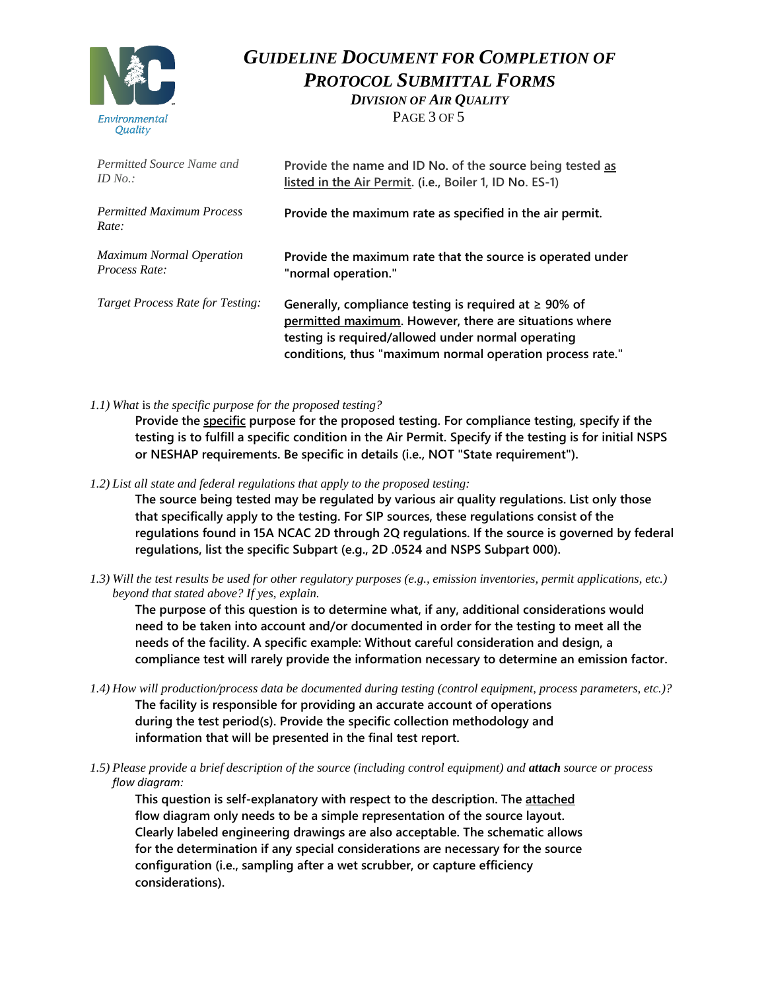

*DIVISION OF AIR QUALITY* PAGE 3 OF 5

| Permitted Source Name and                 | Provide the name and ID No. of the source being tested as                                                                                                                                                                                |
|-------------------------------------------|------------------------------------------------------------------------------------------------------------------------------------------------------------------------------------------------------------------------------------------|
| ID $No.$ :                                | listed in the Air Permit. (i.e., Boiler 1, ID No. ES-1)                                                                                                                                                                                  |
| <b>Permitted Maximum Process</b><br>Rate: | Provide the maximum rate as specified in the air permit.                                                                                                                                                                                 |
| <b>Maximum Normal Operation</b>           | Provide the maximum rate that the source is operated under                                                                                                                                                                               |
| Process Rate:                             | "normal operation."                                                                                                                                                                                                                      |
| <b>Target Process Rate for Testing:</b>   | Generally, compliance testing is required at $\geq 90\%$ of<br>permitted maximum. However, there are situations where<br>testing is required/allowed under normal operating<br>conditions, thus "maximum normal operation process rate." |

*1.1) What* is *the specific purpose for the proposed testing?*

**Provide the specific purpose for the proposed testing. For compliance testing, specify if the testing is to fulfill a specific condition in the Air Permit. Specify if the testing is for initial NSPS or NESHAP requirements. Be specific in details (i.e., NOT "State requirement").**

*1.2) List all state and federal regulations that apply to the proposed testing:*

**The source being tested may be regulated by various air quality regulations. List only those that specifically apply to the testing. For SIP sources, these regulations consist of the regulations found in 15A NCAC 2D through 2Q regulations. If the source is governed by federal regulations, list the specific Subpart (e.g., 2D .0524 and NSPS Subpart 000).**

*1.3) Will the test results be used for other regulatory purposes (e.g., emission inventories, permit applications, etc.) beyond that stated above? If yes, explain.*

**The purpose of this question is to determine what, if any, additional considerations would need to be taken into account and/or documented in order for the testing to meet all the needs of the facility. A specific example: Without careful consideration and design, a compliance test will rarely provide the information necessary to determine an emission factor.**

- *1.4) How will production/process data be documented during testing (control equipment, process parameters, etc.)?* **The facility is responsible for providing an accurate account of operations during the test period(s). Provide the specific collection methodology and information that will be presented in the final test report.**
- *1.5) Please provide a brief description of the source (including control equipment) and attach source or process flow diagram:*

**This question is self-explanatory with respect to the description. The attached flow diagram only needs to be a simple representation of the source layout. Clearly labeled engineering drawings are also acceptable. The schematic allows for the determination if any special considerations are necessary for the source configuration (i.e., sampling after a wet scrubber, or capture efficiency considerations).**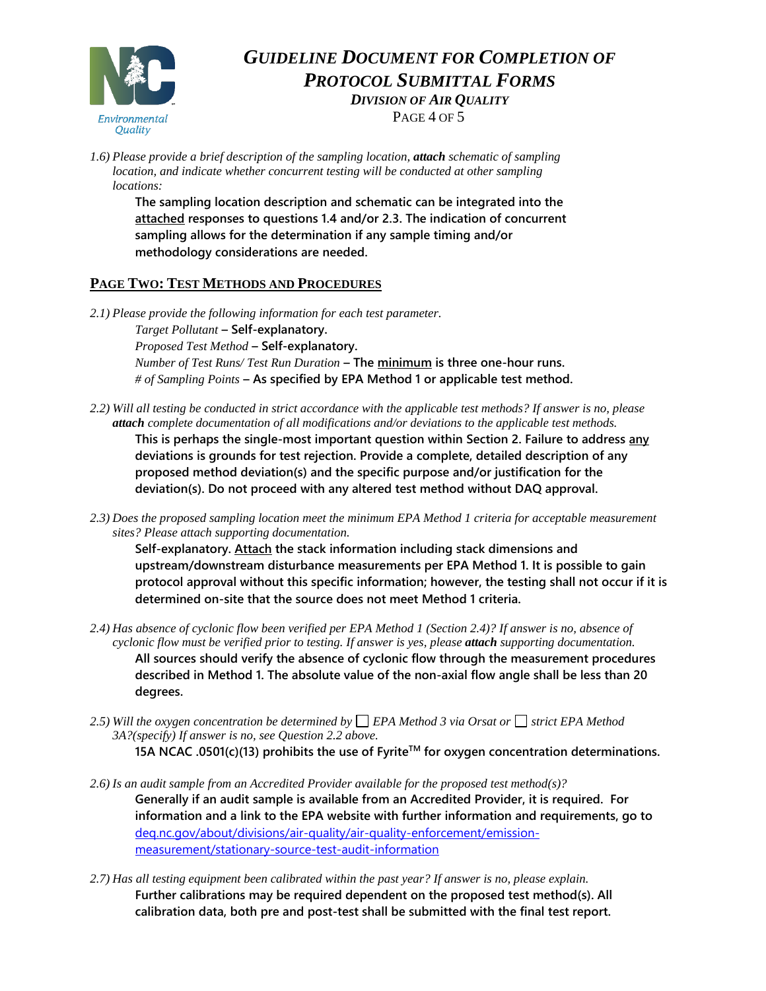

*DIVISION OF AIR QUALITY*

PAGE 4 OF 5

*1.6) Please provide a brief description of the sampling location, attach schematic of sampling location, and indicate whether concurrent testing will be conducted at other sampling locations:*

**The sampling location description and schematic can be integrated into the attached responses to questions 1.4 and/or 2.3. The indication of concurrent sampling allows for the determination if any sample timing and/or methodology considerations are needed.** 

### **PAGE TWO: TEST METHODS AND PROCEDURES**

- *2.1) Please provide the following information for each test parameter. Target Pollutant* **– Self-explanatory.** *Proposed Test Method* **– Self-explanatory.** *Number of Test Runs/ Test Run Duration* **– The minimum is three one-hour runs.** *# of Sampling Points* **– As specified by EPA Method 1 or applicable test method.**
- *2.2) Will all testing be conducted in strict accordance with the applicable test methods? If answer is no, please attach complete documentation of all modifications and/or deviations to the applicable test methods.* **This is perhaps the single-most important question within Section 2. Failure to address any deviations is grounds for test rejection. Provide a complete, detailed description of any proposed method deviation(s) and the specific purpose and/or justification for the deviation(s). Do not proceed with any altered test method without DAQ approval.**
- *2.3) Does the proposed sampling location meet the minimum EPA Method 1 criteria for acceptable measurement sites? Please attach supporting documentation.*

**Self-explanatory. Attach the stack information including stack dimensions and upstream/downstream disturbance measurements per EPA Method 1. It is possible to gain protocol approval without this specific information; however, the testing shall not occur if it is determined on-site that the source does not meet Method 1 criteria.**

- *2.4) Has absence of cyclonic flow been verified per EPA Method 1 (Section 2.4)? If answer is no, absence of cyclonic flow must be verified prior to testing. If answer is yes, please attach supporting documentation.* **All sources should verify the absence of cyclonic flow through the measurement procedures described in Method 1. The absolute value of the non-axial flow angle shall be less than 20 degrees.**
- 2.5) Will the oxygen concentration be determined by  $\Box$  EPA Method 3 via Orsat or  $\Box$  strict EPA Method *3A?(specify) If answer is no, see Question 2.2 above.*

**15A NCAC .0501(c)(13) prohibits the use of FyriteTM for oxygen concentration determinations.**

- *2.6) Is an audit sample from an Accredited Provider available for the proposed test method(s)?* **Generally if an audit sample is available from an Accredited Provider, it is required. For information and a link to the EPA website with further information and requirements, go to** [deq.nc.gov/about/divisions/air-quality/air-quality-enforcement/emission](http://www.deq.nc.gov/about/divisions/air-quality/air-quality-enforcement/emission-measurement/stationary-source-test-audit-information)[measurement/stationary-source-test-audit-information](http://www.deq.nc.gov/about/divisions/air-quality/air-quality-enforcement/emission-measurement/stationary-source-test-audit-information)
- *2.7) Has all testing equipment been calibrated within the past year? If answer is no, please explain.* **Further calibrations may be required dependent on the proposed test method(s). All calibration data, both pre and post-test shall be submitted with the final test report.**